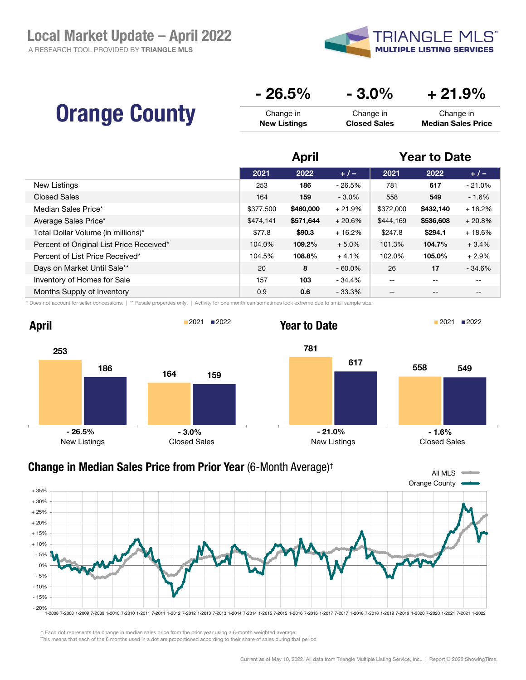A RESEARCH TOOL PROVIDED BY TRIANGLE MLS



|                      | $-26.5%$            | $-3.0\%$            | $+21.9\%$                 |
|----------------------|---------------------|---------------------|---------------------------|
| <b>Orange County</b> | Change in           | Change in           | Change in                 |
|                      | <b>New Listings</b> | <b>Closed Sales</b> | <b>Median Sales Price</b> |

|                                          | April     |           |           | <b>Year to Date</b> |                   |          |
|------------------------------------------|-----------|-----------|-----------|---------------------|-------------------|----------|
|                                          | 2021      | 2022      | $+/-$     | 2021                | 2022              | $+/-$    |
| New Listings                             | 253       | 186       | $-26.5%$  | 781                 | 617               | $-21.0%$ |
| <b>Closed Sales</b>                      | 164       | 159       | $-3.0\%$  | 558                 | 549               | $-1.6%$  |
| Median Sales Price*                      | \$377,500 | \$460,000 | $+21.9%$  | \$372,000           | \$432,140         | $+16.2%$ |
| Average Sales Price*                     | \$474,141 | \$571,644 | $+20.6%$  | \$444,169           | \$536,608         | $+20.8%$ |
| Total Dollar Volume (in millions)*       | \$77.8    | \$90.3    | $+16.2%$  | \$247.8             | \$294.1           | $+18.6%$ |
| Percent of Original List Price Received* | 104.0%    | 109.2%    | $+5.0%$   | 101.3%              | 104.7%            | $+3.4%$  |
| Percent of List Price Received*          | 104.5%    | 108.8%    | $+4.1%$   | 102.0%              | 105.0%            | $+2.9%$  |
| Days on Market Until Sale**              | 20        | 8         | $-60.0\%$ | 26                  | 17                | $-34.6%$ |
| Inventory of Homes for Sale              | 157       | 103       | $-34.4%$  | $- -$               | $\qquad \qquad -$ | --       |
| Months Supply of Inventory               | 0.9       | 0.6       | $-33.3%$  | $- -$               | $- -$             | --       |

\* Does not account for seller concessions. | \*\* Resale properties only. | Activity for one month can sometimes look extreme due to small sample size.







## All MLS Orange County - 20% - 15% - 10% - 5% 0% + 5% + 10% + 15% + 20% + 25% + 30% + 35% 1-2008 7-2008 1-2009 7-2009 1-2010 7-2010 1-2011 7-2011 1-2012 7-2012 1-2013 7-2013 1-2014 7-2014 1-2015 7-2015 1-2016 7-2016 1-2017 7-2017 1-2018 7-2018 1-2019 7-2019 1-2020 7-2020 1-2021 7-2021 1-2022 Change in Median Sales Price from Prior Year (6-Month Average)†

† Each dot represents the change in median sales price from the prior year using a 6-month weighted average.

This means that each of the 6 months used in a dot are proportioned according to their share of sales during that period